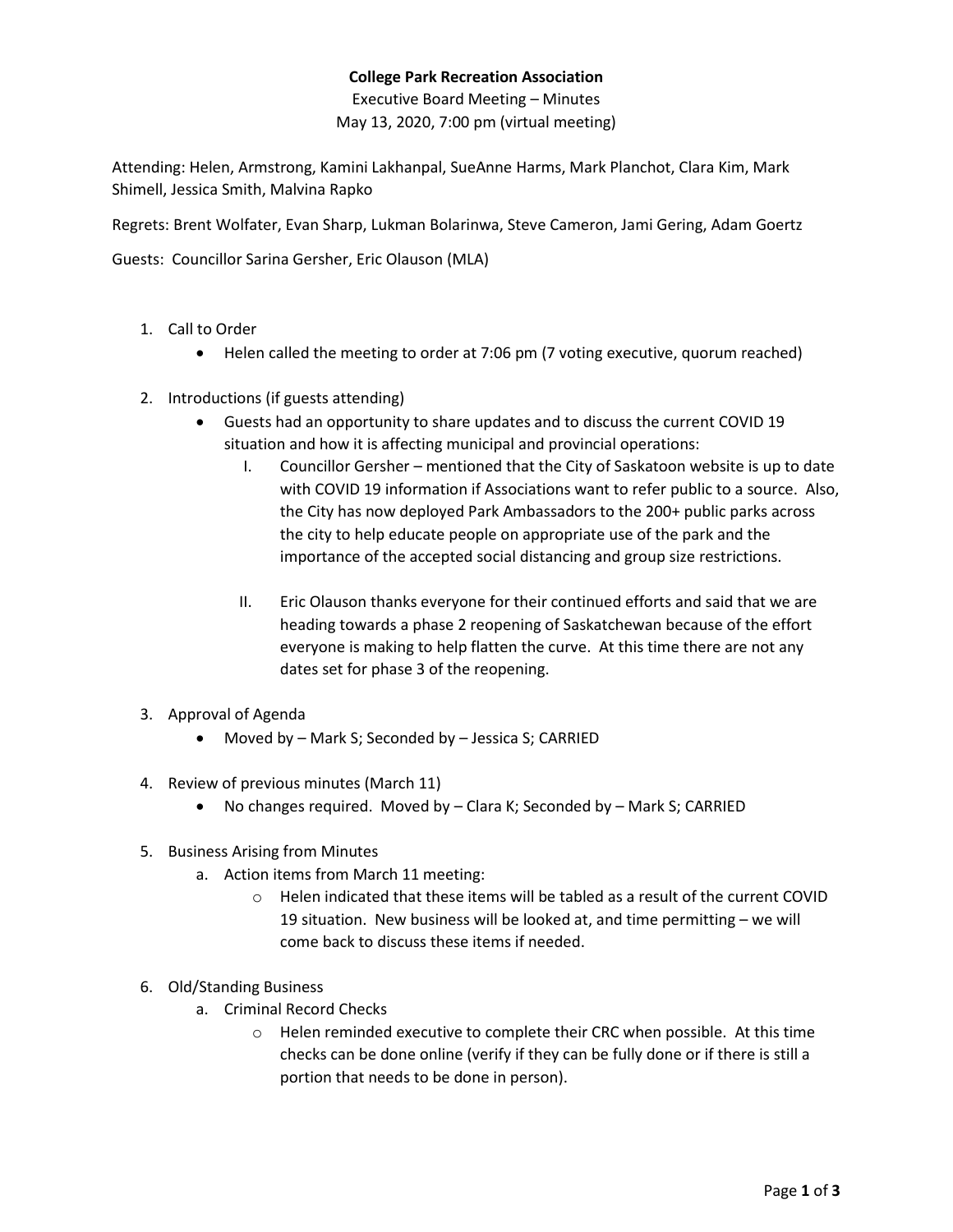## **College Park Recreation Association**

Executive Board Meeting – Minutes May 13, 2020, 7:00 pm (virtual meeting)

Attending: Helen, Armstrong, Kamini Lakhanpal, SueAnne Harms, Mark Planchot, Clara Kim, Mark Shimell, Jessica Smith, Malvina Rapko

Regrets: Brent Wolfater, Evan Sharp, Lukman Bolarinwa, Steve Cameron, Jami Gering, Adam Goertz

Guests: Councillor Sarina Gersher, Eric Olauson (MLA)

- 1. Call to Order
	- Helen called the meeting to order at 7:06 pm (7 voting executive, quorum reached)
- 2. Introductions (if guests attending)
	- Guests had an opportunity to share updates and to discuss the current COVID 19 situation and how it is affecting municipal and provincial operations:
		- I. Councillor Gersher mentioned that the City of Saskatoon website is up to date with COVID 19 information if Associations want to refer public to a source. Also, the City has now deployed Park Ambassadors to the 200+ public parks across the city to help educate people on appropriate use of the park and the importance of the accepted social distancing and group size restrictions.
		- II. Eric Olauson thanks everyone for their continued efforts and said that we are heading towards a phase 2 reopening of Saskatchewan because of the effort everyone is making to help flatten the curve. At this time there are not any dates set for phase 3 of the reopening.
- 3. Approval of Agenda
	- Moved by Mark S; Seconded by Jessica S; CARRIED
- 4. Review of previous minutes (March 11)
	- No changes required. Moved by Clara K; Seconded by Mark S; CARRIED
- 5. Business Arising from Minutes
	- a. Action items from March 11 meeting:
		- $\circ$  Helen indicated that these items will be tabled as a result of the current COVID 19 situation. New business will be looked at, and time permitting – we will come back to discuss these items if needed.
- 6. Old/Standing Business
	- a. Criminal Record Checks
		- o Helen reminded executive to complete their CRC when possible. At this time checks can be done online (verify if they can be fully done or if there is still a portion that needs to be done in person).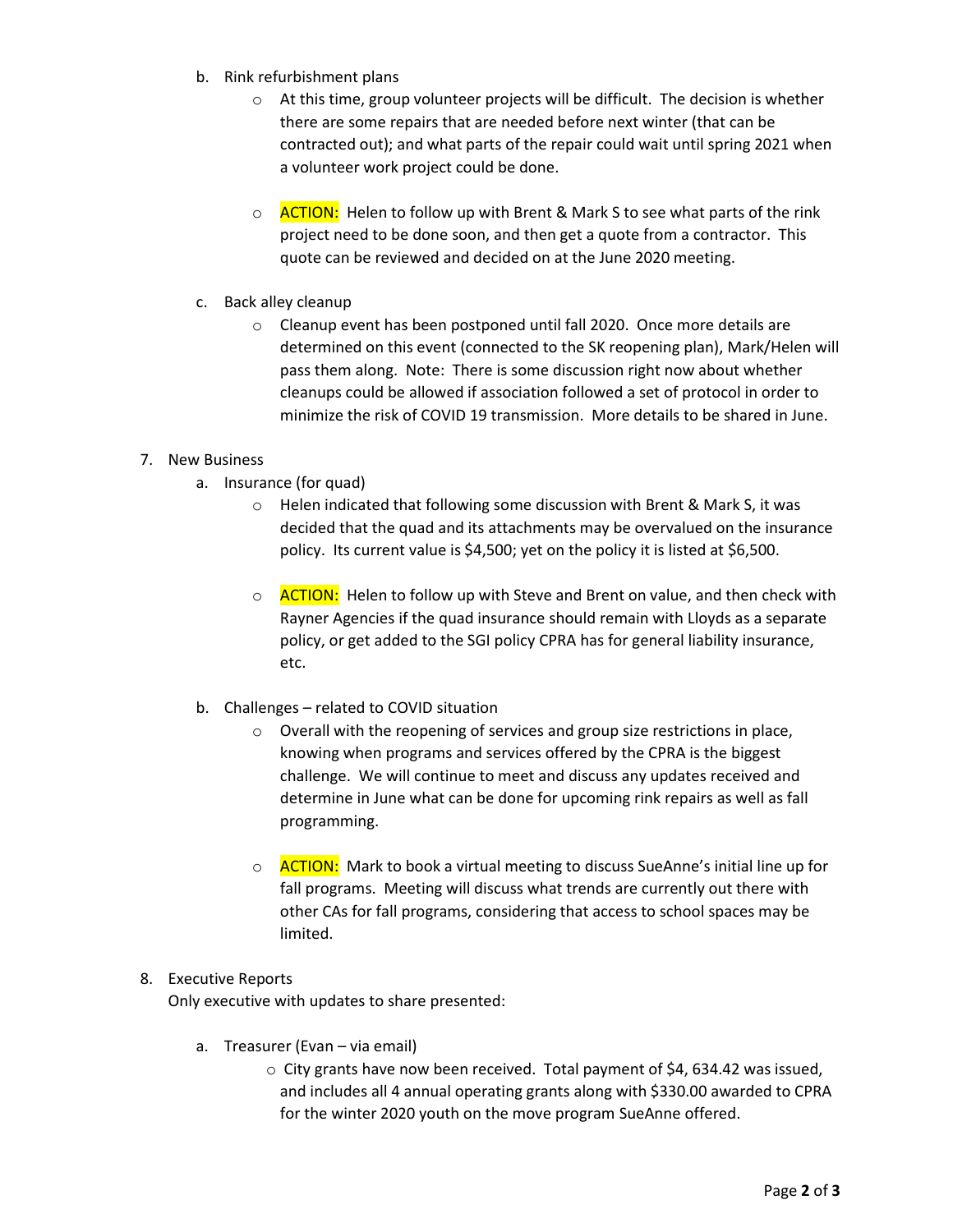- b. Rink refurbishment plans
	- o At this time, group volunteer projects will be difficult. The decision is whether there are some repairs that are needed before next winter (that can be contracted out); and what parts of the repair could wait until spring 2021 when a volunteer work project could be done.
	- $\circ$  ACTION: Helen to follow up with Brent & Mark S to see what parts of the rink project need to be done soon, and then get a quote from a contractor. This quote can be reviewed and decided on at the June 2020 meeting.
- c. Back alley cleanup
	- o Cleanup event has been postponed until fall 2020. Once more details are determined on this event (connected to the SK reopening plan), Mark/Helen will pass them along. Note: There is some discussion right now about whether cleanups could be allowed if association followed a set of protocol in order to minimize the risk of COVID 19 transmission. More details to be shared in June.

## 7. New Business

- a. Insurance (for quad)
	- o Helen indicated that following some discussion with Brent & Mark S, it was decided that the quad and its attachments may be overvalued on the insurance policy. Its current value is \$4,500; yet on the policy it is listed at \$6,500.
	- $\circ$  **ACTION:** Helen to follow up with Steve and Brent on value, and then check with Rayner Agencies if the quad insurance should remain with Lloyds as a separate policy, or get added to the SGI policy CPRA has for general liability insurance, etc.
- b. Challenges related to COVID situation
	- o Overall with the reopening of services and group size restrictions in place, knowing when programs and services offered by the CPRA is the biggest challenge. We will continue to meet and discuss any updates received and determine in June what can be done for upcoming rink repairs as well as fall programming.
	- $\circ$  **ACTION:** Mark to book a virtual meeting to discuss SueAnne's initial line up for fall programs. Meeting will discuss what trends are currently out there with other CAs for fall programs, considering that access to school spaces may be limited.

## 8. Executive Reports

Only executive with updates to share presented:

- a. Treasurer (Evan via email)
	- o City grants have now been received. Total payment of \$4, 634.42 was issued, and includes all 4 annual operating grants along with \$330.00 awarded to CPRA for the winter 2020 youth on the move program SueAnne offered.